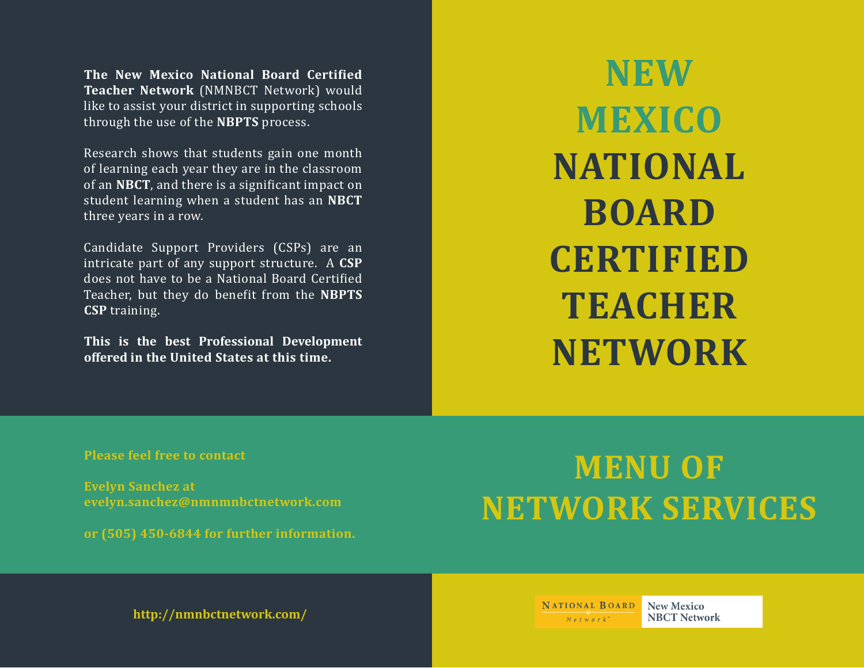**The New Mexico National Board Certi�ied Teacher Network** (NMNBCT Network) would like to assist your district in supporting schools through the use of the **NBPTS** process.

Research shows that students gain one month of learning each year they are in the classroom of an **NBCT**, and there is a signi�icant impact on student learning when a student has an **NBCT** three years in a row.

Candidate Support Providers (CSPs) are an intricate part of any support structure. A **CSP**  does not have to be a National Board Certified Teacher, but they do bene�it from the **NBPTS CSP** training.

**This is the best Professional Development offered in the United States at this time.** 

**NEW MEXICO NATIONAL BOARD CERTIFIED TEACHER NETWORK**

**Please feel free to contact**

**Evelyn Sanchez at evelyn.sanchez@nmnmnbctnetwork.com**

**or (505) 450-6844 for further information.**

## **MENU OF NETWORK SERVICES**

**http://nmnbctnetwork.com/**